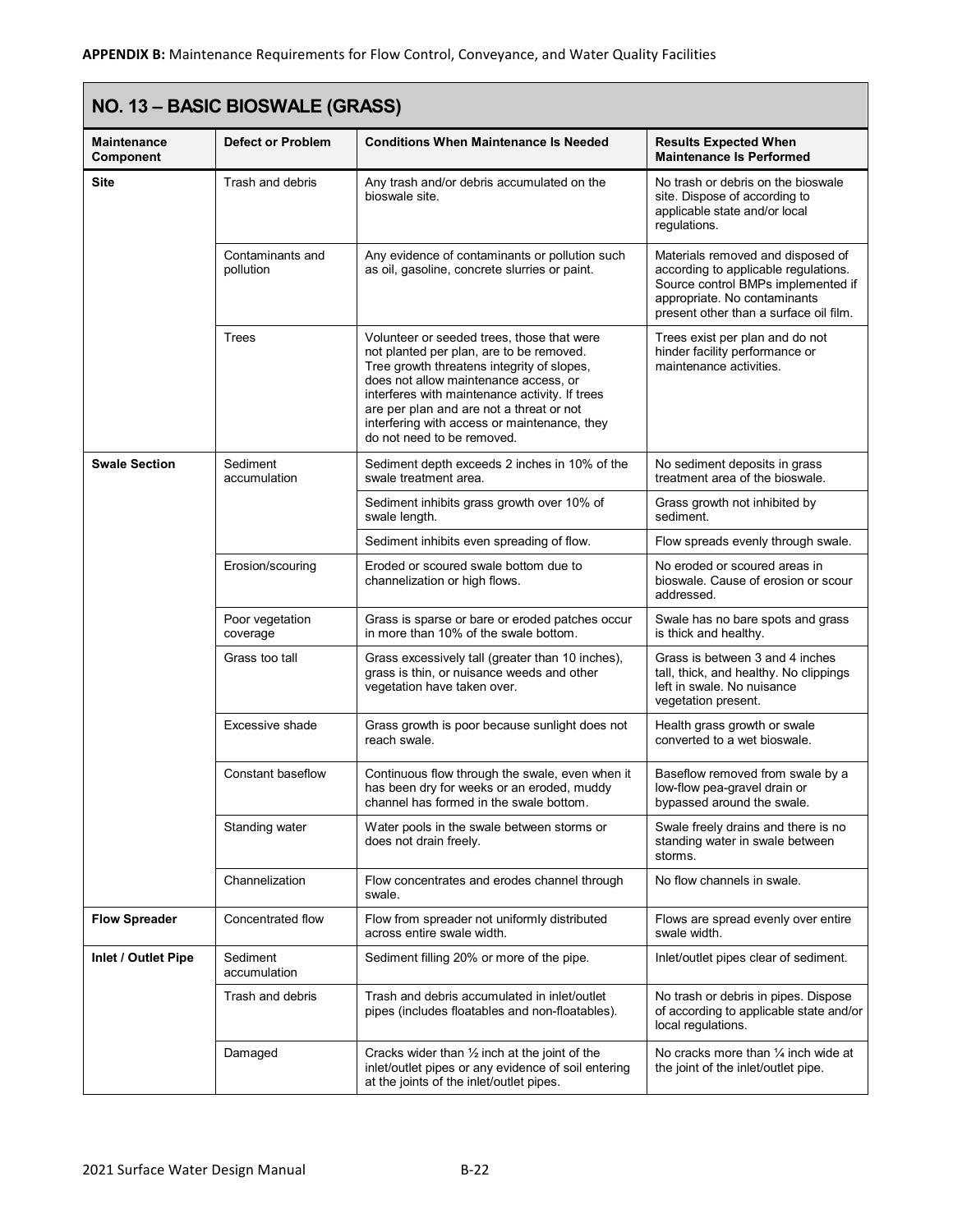| NO. 13 - BASIC BIOSWALE (GRASS) |                               |                                                                                                                                                                                                                                                                                                                                                           |                                                                                                                                                                                           |  |
|---------------------------------|-------------------------------|-----------------------------------------------------------------------------------------------------------------------------------------------------------------------------------------------------------------------------------------------------------------------------------------------------------------------------------------------------------|-------------------------------------------------------------------------------------------------------------------------------------------------------------------------------------------|--|
| Maintenance<br>Component        | <b>Defect or Problem</b>      | <b>Conditions When Maintenance Is Needed</b>                                                                                                                                                                                                                                                                                                              | <b>Results Expected When</b><br><b>Maintenance Is Performed</b>                                                                                                                           |  |
| <b>Site</b>                     | Trash and debris              | Any trash and/or debris accumulated on the<br>bioswale site.                                                                                                                                                                                                                                                                                              | No trash or debris on the bioswale<br>site. Dispose of according to<br>applicable state and/or local<br>regulations.                                                                      |  |
|                                 | Contaminants and<br>pollution | Any evidence of contaminants or pollution such<br>as oil, gasoline, concrete slurries or paint.                                                                                                                                                                                                                                                           | Materials removed and disposed of<br>according to applicable regulations.<br>Source control BMPs implemented if<br>appropriate. No contaminants<br>present other than a surface oil film. |  |
|                                 | Trees                         | Volunteer or seeded trees, those that were<br>not planted per plan, are to be removed.<br>Tree growth threatens integrity of slopes,<br>does not allow maintenance access, or<br>interferes with maintenance activity. If trees<br>are per plan and are not a threat or not<br>interfering with access or maintenance, they<br>do not need to be removed. | Trees exist per plan and do not<br>hinder facility performance or<br>maintenance activities.                                                                                              |  |
| <b>Swale Section</b>            | Sediment<br>accumulation      | Sediment depth exceeds 2 inches in 10% of the<br>swale treatment area.                                                                                                                                                                                                                                                                                    | No sediment deposits in grass<br>treatment area of the bioswale.                                                                                                                          |  |
|                                 |                               | Sediment inhibits grass growth over 10% of<br>swale length.                                                                                                                                                                                                                                                                                               | Grass growth not inhibited by<br>sediment.                                                                                                                                                |  |
|                                 |                               | Sediment inhibits even spreading of flow.                                                                                                                                                                                                                                                                                                                 | Flow spreads evenly through swale.                                                                                                                                                        |  |
|                                 | Erosion/scouring              | Eroded or scoured swale bottom due to<br>channelization or high flows.                                                                                                                                                                                                                                                                                    | No eroded or scoured areas in<br>bioswale. Cause of erosion or scour<br>addressed.                                                                                                        |  |
|                                 | Poor vegetation<br>coverage   | Grass is sparse or bare or eroded patches occur<br>in more than 10% of the swale bottom.                                                                                                                                                                                                                                                                  | Swale has no bare spots and grass<br>is thick and healthy.                                                                                                                                |  |
|                                 | Grass too tall                | Grass excessively tall (greater than 10 inches),<br>grass is thin, or nuisance weeds and other<br>vegetation have taken over.                                                                                                                                                                                                                             | Grass is between 3 and 4 inches<br>tall, thick, and healthy. No clippings<br>left in swale. No nuisance<br>vegetation present.                                                            |  |
|                                 | Excessive shade               | Grass growth is poor because sunlight does not<br>reach swale.                                                                                                                                                                                                                                                                                            | Health grass growth or swale<br>converted to a wet bioswale.                                                                                                                              |  |
|                                 | Constant baseflow             | Continuous flow through the swale, even when it<br>has been dry for weeks or an eroded, muddy<br>channel has formed in the swale bottom.                                                                                                                                                                                                                  | Baseflow removed from swale by a<br>low-flow pea-gravel drain or<br>bypassed around the swale.                                                                                            |  |
|                                 | Standing water                | Water pools in the swale between storms or<br>does not drain freely.                                                                                                                                                                                                                                                                                      | Swale freely drains and there is no<br>standing water in swale between<br>storms.                                                                                                         |  |
|                                 | Channelization                | Flow concentrates and erodes channel through<br>swale.                                                                                                                                                                                                                                                                                                    | No flow channels in swale.                                                                                                                                                                |  |
| <b>Flow Spreader</b>            | Concentrated flow             | Flow from spreader not uniformly distributed<br>across entire swale width.                                                                                                                                                                                                                                                                                | Flows are spread evenly over entire<br>swale width.                                                                                                                                       |  |
| Inlet / Outlet Pipe             | Sediment<br>accumulation      | Sediment filling 20% or more of the pipe.                                                                                                                                                                                                                                                                                                                 | Inlet/outlet pipes clear of sediment.                                                                                                                                                     |  |
|                                 | Trash and debris              | Trash and debris accumulated in inlet/outlet<br>pipes (includes floatables and non-floatables).                                                                                                                                                                                                                                                           | No trash or debris in pipes. Dispose<br>of according to applicable state and/or<br>local regulations.                                                                                     |  |
|                                 | Damaged                       | Cracks wider than $\frac{1}{2}$ inch at the joint of the<br>inlet/outlet pipes or any evidence of soil entering<br>at the joints of the inlet/outlet pipes.                                                                                                                                                                                               | No cracks more than $\frac{1}{4}$ inch wide at<br>the joint of the inlet/outlet pipe.                                                                                                     |  |